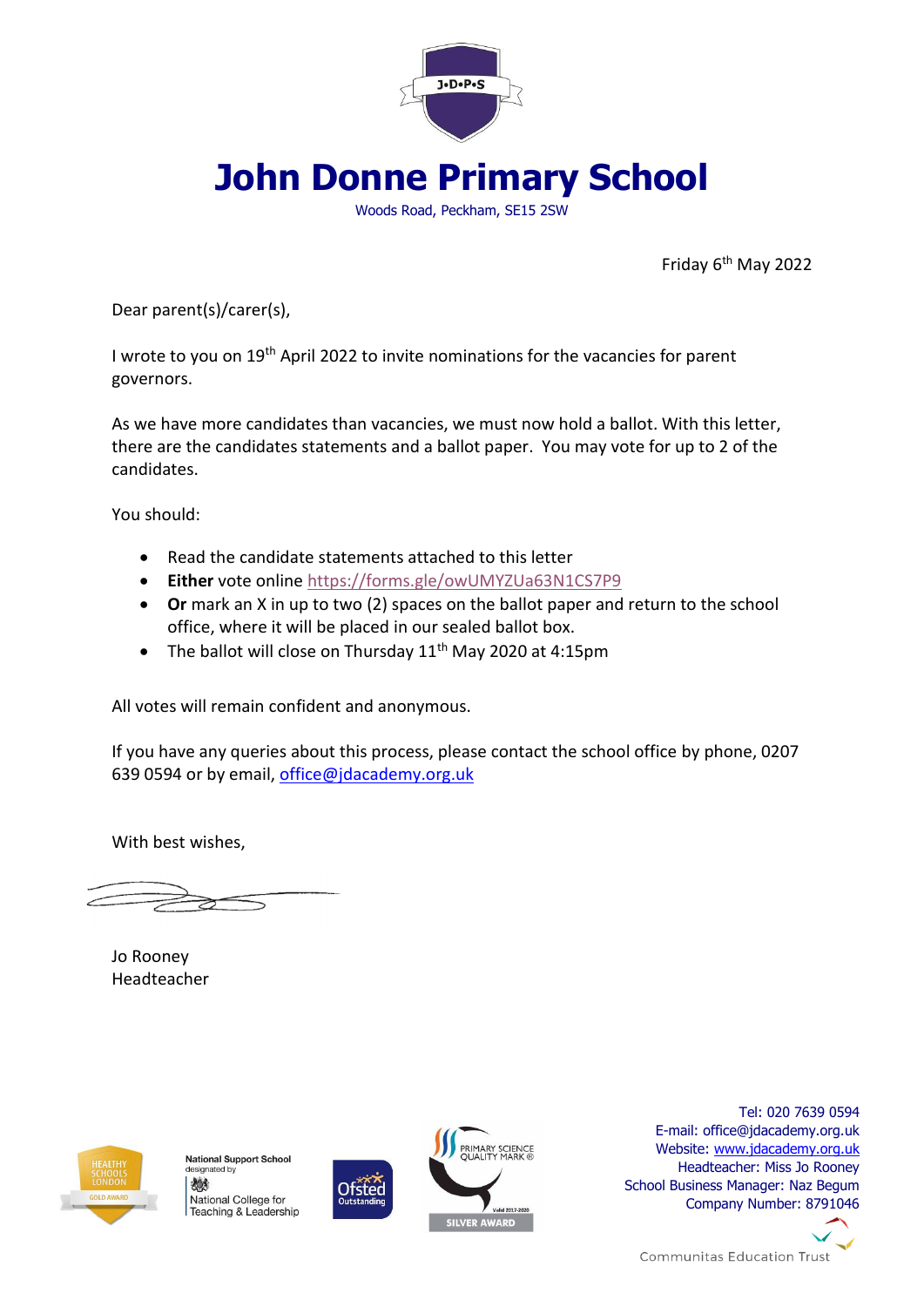

**John Donne Primary School**

Woods Road, Peckham, SE15 2SW

Friday 6th May 2022

Dear parent(s)/carer(s),

I wrote to you on 19th April 2022 to invite nominations for the vacancies for parent governors.

As we have more candidates than vacancies, we must now hold a ballot. With this letter, there are the candidates statements and a ballot paper. You may vote for up to 2 of the candidates.

You should:

- Read the candidate statements attached to this letter
- **Either** vote online<https://forms.gle/owUMYZUa63N1CS7P9>
- **Or** mark an X in up to two (2) spaces on the ballot paper and return to the school office, where it will be placed in our sealed ballot box.
- The ballot will close on Thursday  $11<sup>th</sup>$  May 2020 at 4:15pm

All votes will remain confident and anonymous.

If you have any queries about this process, please contact the school office by phone, 0207 639 0594 or by email, [office@jdacademy.org.uk](mailto:office@jdacademy.org.uk)

With best wishes,

Jo Rooney Headteacher



**National Support School** designated by 燃 National College for Teaching & Leadership





Tel: 020 7639 0594 E-mail: office@jdacademy.org.uk Website: [www.jdacademy.org.uk](http://www.jdacademy.org.uk/) Headteacher: Miss Jo Rooney School Business Manager: Naz Begum Company Number: 8791046